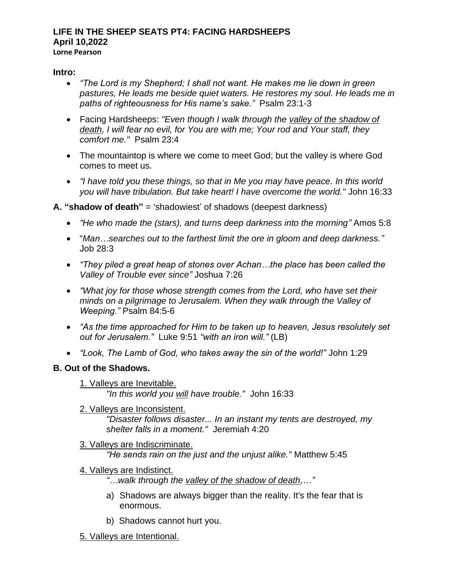#### **LIFE IN THE SHEEP SEATS PT4: FACING HARDSHEEPS April 10,2022 Lorne Pearson**

#### **Intro:**

- *"The Lord is my Shepherd; I shall not want. He makes me lie down in green pastures, He leads me beside quiet waters. He restores my soul. He leads me in paths of righteousness for His name's sake."* Psalm 23:1-3
- Facing Hardsheeps: *"Even though I walk through the valley of the shadow of death, I will fear no evil, for You are with me; Your rod and Your staff, they comfort me."* Psalm 23:4
- The mountaintop is where we come to meet God; but the valley is where God comes to meet us.
- *"I have told you these things, so that in Me you may have peace. In this world you will have tribulation. But take heart! I have overcome the world."* John 16:33

#### **A. "shadow of death"** = 'shadowiest' of shadows (deepest darkness)

- *"He who made the (stars), and turns deep darkness into the morning"* Amos 5:8
- "*Man…searches out to the farthest limit the ore in gloom and deep darkness."* Job 28:3
- *"They piled a great heap of stones over Achan…the place has been called the Valley of Trouble ever since"* Joshua 7:26
- *"What joy for those whose strength comes from the Lord, who have set their minds on a pilgrimage to Jerusalem. When they walk through the Valley of Weeping."* Psalm 84:5-6
- *"As the time approached for Him to be taken up to heaven, Jesus resolutely set out for Jerusalem."* Luke 9:51 *"with an iron will."* (LB)
- *"Look, The Lamb of God, who takes away the sin of the world!"* John 1:29

### **B. Out of the Shadows.**

1. Valleys are Inevitable.

*"In this world you will have trouble."* John 16:33

2. Valleys are Inconsistent.

*"Disaster follows disaster... In an instant my tents are destroyed, my shelter falls in a moment."* Jeremiah 4:20

### 3. Valleys are Indiscriminate.

*"He sends rain on the just and the unjust alike."* Matthew 5:45

4. Valleys are Indistinct.

*"…walk through the valley of the shadow of death,…"*

- a) Shadows are always bigger than the reality. It's the fear that is enormous.
- b) Shadows cannot hurt you.
- 5. Valleys are Intentional.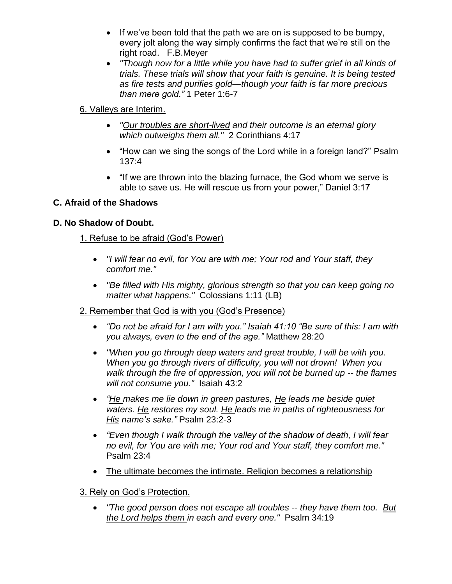- If we've been told that the path we are on is supposed to be bumpy, every jolt along the way simply confirms the fact that we're still on the right road. F.B.Meyer
- *"Though now for a little while you have had to suffer grief in all kinds of trials. These trials will show that your faith is genuine. It is being tested as fire tests and purifies gold—though your faith is far more precious than mere gold."* 1 Peter 1:6-7

# 6. Valleys are Interim.

- *"Our troubles are short-lived and their outcome is an eternal glory which outweighs them all."* 2 Corinthians 4:17
- "How can we sing the songs of the Lord while in a foreign land?" Psalm 137:4
- "If we are thrown into the blazing furnace, the God whom we serve is able to save us. He will rescue us from your power," Daniel 3:17

## **C. Afraid of the Shadows**

## **D. No Shadow of Doubt.**

### 1. Refuse to be afraid (God's Power)

- *"I will fear no evil, for You are with me; Your rod and Your staff, they comfort me."*
- *"Be filled with His mighty, glorious strength so that you can keep going no matter what happens."* Colossians 1:11 (LB)

## 2. Remember that God is with you (God's Presence)

- *"Do not be afraid for I am with you." Isaiah 41:10 "Be sure of this: I am with you always, even to the end of the age."* Matthew 28:20
- *"When you go through deep waters and great trouble, I will be with you. When you go through rivers of difficulty, you will not drown! When you walk through the fire of oppression, you will not be burned up -- the flames will not consume you."* Isaiah 43:2
- *"He makes me lie down in green pastures, He leads me beside quiet waters. He restores my soul. He leads me in paths of righteousness for His name's sake."* Psalm 23:2-3
- *"Even though I walk through the valley of the shadow of death, I will fear no evil, for You are with me; Your rod and Your staff, they comfort me."* Psalm 23:4
- The ultimate becomes the intimate. Religion becomes a relationship

### 3. Rely on God's Protection.

• *"The good person does not escape all troubles -- they have them too. But the Lord helps them in each and every one."* Psalm 34:19